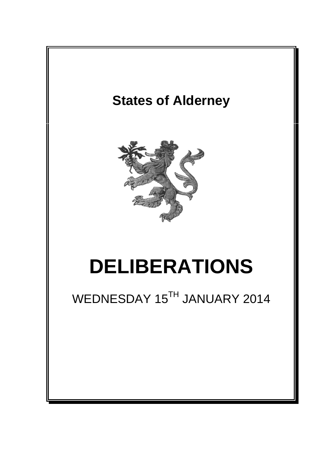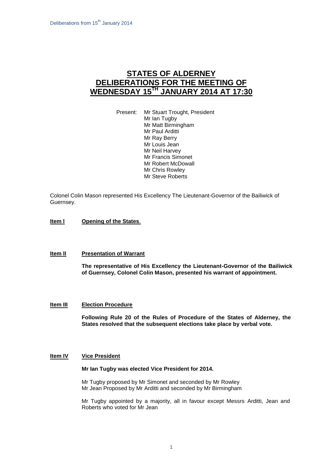# **STATES OF ALDERNEY DELIBERATIONS FOR THE MEETING OF WEDNESDAY 15TH JANUARY 2014 AT 17:30**

Present: Mr Stuart Trought, President Mr Ian Tugby Mr Matt Birmingham Mr Paul Arditti Mr Ray Berry Mr Louis Jean Mr Neil Harvey Mr Francis Simonet Mr Robert McDowall Mr Chris Rowley Mr Steve Roberts

Colonel Colin Mason represented His Excellency The Lieutenant-Governor of the Bailiwick of Guernsey.

# **Item I Opening of the States.**

## **Item lI Presentation of Warrant**

**The representative of His Excellency the Lieutenant-Governor of the Bailiwick of Guernsey, Colonel Colin Mason, presented his warrant of appointment.**

#### **Item III Election Procedure**

**Following Rule 20 of the Rules of Procedure of the States of Alderney, the States resolved that the subsequent elections take place by verbal vote.**

#### **Item IV Vice President**

#### **Mr Ian Tugby was elected Vice President for 2014.**

Mr Tugby proposed by Mr Simonet and seconded by Mr Rowley Mr Jean Proposed by Mr Arditti and seconded by Mr Birmingham

Mr Tugby appointed by a majority, all in favour except Messrs Arditti, Jean and Roberts who voted for Mr Jean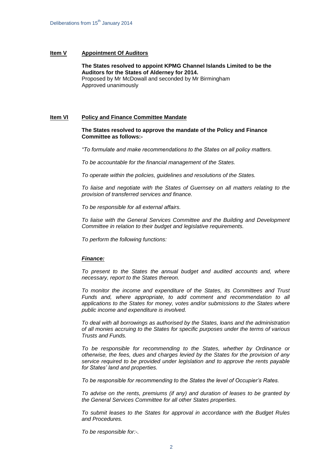## **Item V Appointment Of Auditors**

**The States resolved to appoint KPMG Channel Islands Limited to be the Auditors for the States of Alderney for 2014.** Proposed by Mr McDowall and seconded by Mr Birmingham Approved unanimously

# **Item VI Policy and Finance Committee Mandate**

**The States resolved to approve the mandate of the Policy and Finance Committee as follows:-**

*"To formulate and make recommendations to the States on all policy matters.*

*To be accountable for the financial management of the States.*

*To operate within the policies, guidelines and resolutions of the States.*

*To liaise and negotiate with the States of Guernsey on all matters relating to the provision of transferred services and finance.*

*To be responsible for all external affairs.*

*To liaise with the General Services Committee and the Building and Development Committee in relation to their budget and legislative requirements.*

*To perform the following functions:*

# *Finance:*

*To present to the States the annual budget and audited accounts and, where necessary, report to the States thereon.*

*To monitor the income and expenditure of the States, its Committees and Trust Funds and, where appropriate, to add comment and recommendation to all applications to the States for money, votes and/or submissions to the States where public income and expenditure is involved.*

*To deal with all borrowings as authorised by the States, loans and the administration of all monies accruing to the States for specific purposes under the terms of various Trusts and Funds.*

*To be responsible for recommending to the States, whether by Ordinance or otherwise, the fees, dues and charges levied by the States for the provision of any service required to be provided under legislation and to approve the rents payable for States' land and properties.* 

*To be responsible for recommending to the States the level of Occupier's Rates.*

*To advise on the rents, premiums (if any) and duration of leases to be granted by the General Services Committee for all other States properties.*

*To submit leases to the States for approval in accordance with the Budget Rules and Procedures.*

*To be responsible for:-.*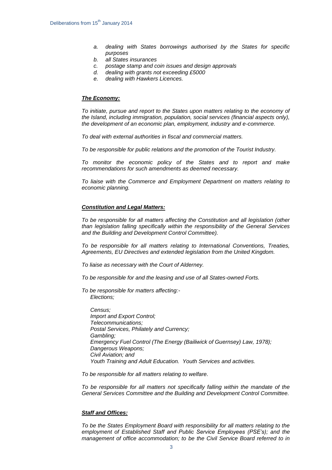- *a. dealing with States borrowings authorised by the States for specific purposes*
- *b. all States insurances*
- *c. postage stamp and coin issues and design approvals*
- *d. dealing with grants not exceeding £5000*
- *e. dealing with Hawkers Licences.*

#### *The Economy:*

*To initiate, pursue and report to the States upon matters relating to the economy of the Island, including immigration, population, social services (financial aspects only), the development of an economic plan, employment, industry and e-commerce.*

*To deal with external authorities in fiscal and commercial matters.* 

*To be responsible for public relations and the promotion of the Tourist Industry.*

*To monitor the economic policy of the States and to report and make recommendations for such amendments as deemed necessary.*

*To liaise with the Commerce and Employment Department on matters relating to economic planning.*

#### *Constitution and Legal Matters:*

*To be responsible for all matters affecting the Constitution and all legislation (other than legislation falling specifically within the responsibility of the General Services and the Building and Development Control Committee).* 

*To be responsible for all matters relating to International Conventions, Treaties, Agreements, EU Directives and extended legislation from the United Kingdom.*

*To liaise as necessary with the Court of Alderney.*

*To be responsible for and the leasing and use of all States-owned Forts.*

*To be responsible for matters affecting:- Elections;*

*Census; Import and Export Control; Telecommunications; Postal Services, Philately and Currency; Gambling; Emergency Fuel Control (The Energy (Bailiwick of Guernsey) Law, 1978); Dangerous Weapons; Civil Aviation; and Youth Training and Adult Education. Youth Services and activities.*

*To be responsible for all matters relating to welfare.*

*To be responsible for all matters not specifically falling within the mandate of the General Services Committee and the Building and Development Control Committee.*

#### *Staff and Offices:*

*To be the States Employment Board with responsibility for all matters relating to the employment of Established Staff and Public Service Employees (PSE's); and the management of office accommodation; to be the Civil Service Board referred to in*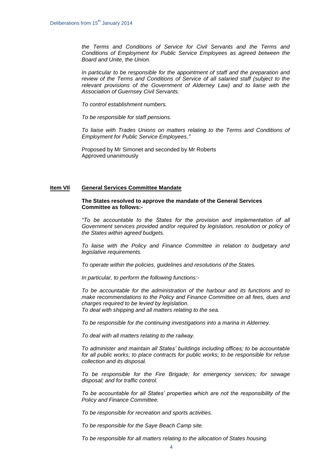*the Terms and Conditions of Service for Civil Servants and the Terms and Conditions of Employment for Public Service Employees as agreed between the Board and Unite, the Union.* 

*In particular to be responsible for the appointment of staff and the preparation and review of the Terms and Conditions of Service of all salaried staff (subject to the relevant provisions of the Government of Alderney Law) and to liaise with the Association of Guernsey Civil Servants.*

*To control establishment numbers.*

*To be responsible for staff pensions.*

*To liaise with Trades Unions on matters relating to the Terms and Conditions of Employment for Public Service Employees."*

Proposed by Mr Simonet and seconded by Mr Roberts Approved unanimously

## **Item VIl General Services Committee Mandate**

#### **The States resolved to approve the mandate of the General Services Committee as follows:-**

*"To be accountable to the States for the provision and implementation of all*  Government services provided and/or required by legislation, resolution or policy of *the States within agreed budgets.*

*To liaise with the Policy and Finance Committee in relation to budgetary and legislative requirements.*

*To operate within the policies, guidelines and resolutions of the States.*

*In particular, to perform the following functions:-*

*To be accountable for the administration of the harbour and its functions and to make recommendations to the Policy and Finance Committee on all fees, dues and charges required to be levied by legislation. To deal with shipping and all matters relating to the sea.*

*To be responsible for the continuing investigations into a marina in Alderney.*

*To deal with all matters relating to the railway.*

*To administer and maintain all States' buildings including offices; to be accountable for all public works; to place contracts for public works; to be responsible for refuse collection and its disposal.*

*To be responsible for the Fire Brigade; for emergency services; for sewage disposal; and for traffic control.*

*To be accountable for all States' properties which are not the responsibility of the Policy and Finance Committee.* 

*To be responsible for recreation and sports activities.* 

*To be responsible for the Saye Beach Camp site.*

*To be responsible for all matters relating to the allocation of States housing.*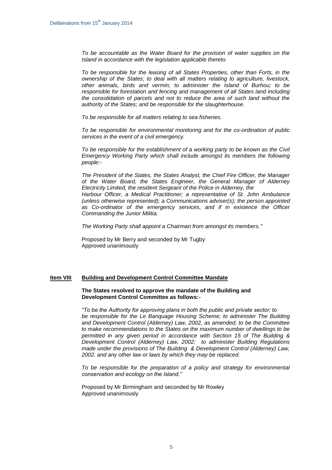*To be accountable as the Water Board for the provision of water supplies on the Island in accordance with the legislation applicable thereto.*

*To be responsible for the leasing of all States Properties, other than Forts, in the ownership of the States; to deal with all matters relating to agriculture, livestock, other animals, birds and vermin; to administer the Island of Burhou; to be responsible for forestation and fencing and management of all States land including the consolidation of parcels and not to reduce the area of such land without the authority of the States; and be responsible for the slaughterhouse.*

*To be responsible for all matters relating to sea fisheries.*

*To be responsible for environmental monitoring and for the co-ordination of public services in the event of a civil emergency.* 

*To be responsible for the establishment of a working party to be known as the Civil Emergency Working Party which shall include amongst its members the following people:-*

*The President of the States, the States Analyst, the Chief Fire Officer, the Manager of the Water Board, the States Engineer, the General Manager of Alderney Electricity Limited, the resident Sergeant of the Police in Alderney, the Harbour Officer, a Medical Practitioner; a representative of St. John Ambulance (unless otherwise represented); a Communications adviser(s); the person appointed as Co-ordinator of the emergency services, and if in existence the Officer Commanding the Junior Militia.*

*The Working Party shall appoint a Chairman from amongst its members."*

Proposed by Mr Berry and seconded by Mr Tugby Approved unanimously

#### **Item VIII Building and Development Control Committee Mandate**

### **The States resolved to approve the mandate of the Building and Development Control Committee as follows:-**

*"To be the Authority for approving plans in both the public and private sector; to be responsible for the Le Banquage Housing Scheme; to administer The Building and Development Control (Alderney) Law, 2002, as amended; to be the Committee to make recommendations to the States on the maximum number of dwellings to be permitted in any given period in accordance with Section 15 of The Building & Development Control (Alderney) Law, 2002; to administer Building Regulations made under the provisions of The Building & Development Control (Alderney) Law, 2002, and any other law or laws by which they may be replaced.*

*To be responsible for the preparation of a policy and strategy for environmental conservation and ecology on the Island."*

Proposed by Mr Birmingham and seconded by Mr Rowley Approved unanimously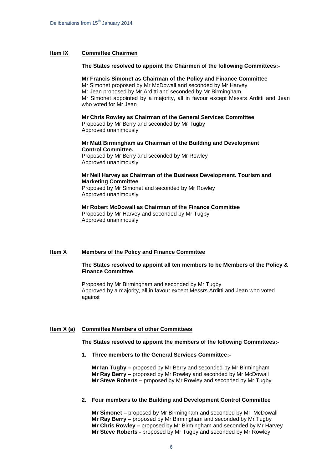## **Item IX Committee Chairmen**

#### **The States resolved to appoint the Chairmen of the following Committees:-**

#### **Mr Francis Simonet as Chairman of the Policy and Finance Committee**

Mr Simonet proposed by Mr McDowall and seconded by Mr Harvey Mr Jean proposed by Mr Arditti and seconded by Mr Birmingham Mr Simonet appointed by a majority, all in favour except Messrs Arditti and Jean who voted for Mr Jean

# **Mr Chris Rowley as Chairman of the General Services Committee**

Proposed by Mr Berry and seconded by Mr Tugby Approved unanimously

## **Mr Matt Birmingham as Chairman of the Building and Development Control Committee.**

Proposed by Mr Berry and seconded by Mr Rowley Approved unanimously

## **Mr Neil Harvey as Chairman of the Business Development. Tourism and Marketing Committee**

Proposed by Mr Simonet and seconded by Mr Rowley Approved unanimously

#### **Mr Robert McDowall as Chairman of the Finance Committee** Proposed by Mr Harvey and seconded by Mr Tugby

Approved unanimously

## **Item X Members of the Policy and Finance Committee**

## **The States resolved to appoint all ten members to be Members of the Policy & Finance Committee**

Proposed by Mr Birmingham and seconded by Mr Tugby Approved by a majority, all in favour except Messrs Arditti and Jean who voted against

#### **Item X (a) Committee Members of other Committees**

**The States resolved to appoint the members of the following Committees:-**

**1. Three members to the General Services Committee:-**

**Mr Ian Tugby –** proposed by Mr Berry and seconded by Mr Birmingham **Mr Ray Berry –** proposed by Mr Rowley and seconded by Mr McDowall **Mr Steve Roberts –** proposed by Mr Rowley and seconded by Mr Tugby

## **2. Four members to the Building and Development Control Committee**

**Mr Simonet –** proposed by Mr Birmingham and seconded by Mr McDowall **Mr Ray Berry –** proposed by Mr Birmingham and seconded by Mr Tugby **Mr Chris Rowley –** proposed by Mr Birmingham and seconded by Mr Harvey **Mr Steve Roberts -** proposed by Mr Tugby and seconded by Mr Rowley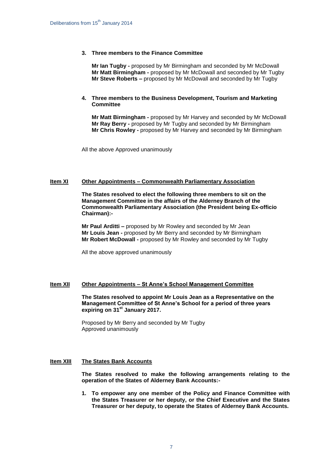# **3. Three members to the Finance Committee**

**Mr Ian Tugby -** proposed by Mr Birmingham and seconded by Mr McDowall **Mr Matt Birmingham -** proposed by Mr McDowall and seconded by Mr Tugby **Mr Steve Roberts –** proposed by Mr McDowall and seconded by Mr Tugby

## **4. Three members to the Business Development, Tourism and Marketing Committee**

**Mr Matt Birmingham -** proposed by Mr Harvey and seconded by Mr McDowall **Mr Ray Berry -** proposed by Mr Tugby and seconded by Mr Birmingham **Mr Chris Rowley -** proposed by Mr Harvey and seconded by Mr Birmingham

All the above Approved unanimously

## **Item XI Other Appointments – Commonwealth Parliamentary Association**

**The States resolved to elect the following three members to sit on the Management Committee in the affairs of the Alderney Branch of the Commonwealth Parliamentary Association (the President being Ex-officio Chairman):-**

**Mr Paul Arditti –** proposed by Mr Rowley and seconded by Mr Jean **Mr Louis Jean -** proposed by Mr Berry and seconded by Mr Birmingham **Mr Robert McDowall -** proposed by Mr Rowley and seconded by Mr Tugby

All the above approved unanimously

# **Item XII Other Appointments – St Anne's School Management Committee**

**The States resolved to appoint Mr Louis Jean as a Representative on the Management Committee of St Anne's School for a period of three years expiring on 31st January 2017.**

Proposed by Mr Berry and seconded by Mr Tugby Approved unanimously

## **Item XIII The States Bank Accounts**

**The States resolved to make the following arrangements relating to the operation of the States of Alderney Bank Accounts:-**

**1. To empower any one member of the Policy and Finance Committee with the States Treasurer or her deputy, or the Chief Executive and the States Treasurer or her deputy, to operate the States of Alderney Bank Accounts.**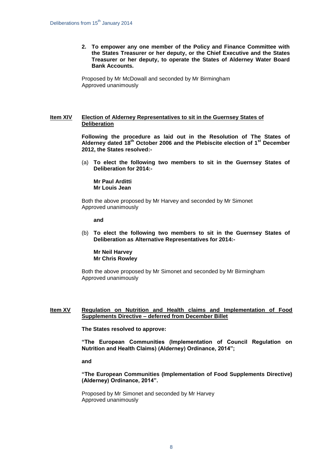**2. To empower any one member of the Policy and Finance Committee with the States Treasurer or her deputy, or the Chief Executive and the States Treasurer or her deputy, to operate the States of Alderney Water Board Bank Accounts.**

Proposed by Mr McDowall and seconded by Mr Birmingham Approved unanimously

## **Item XIV Election of Alderney Representatives to sit in the Guernsey States of Deliberation**

**Following the procedure as laid out in the Resolution of The States of Alderney dated 18th October 2006 and the Plebiscite election of 1st December 2012, the States resolved:-**

(a) **To elect the following two members to sit in the Guernsey States of Deliberation for 2014:-**

**Mr Paul Arditti Mr Louis Jean**

Both the above proposed by Mr Harvey and seconded by Mr Simonet Approved unanimously

**and**

(b) **To elect the following two members to sit in the Guernsey States of Deliberation as Alternative Representatives for 2014:-**

**Mr Neil Harvey Mr Chris Rowley**

Both the above proposed by Mr Simonet and seconded by Mr Birmingham Approved unanimously

# **Item XV Regulation on Nutrition and Health claims and Implementation of Food Supplements Directive – deferred from December Billet**

**The States resolved to approve:**

**"The European Communities (Implementation of Council Regulation on Nutrition and Health Claims) (Alderney) Ordinance, 2014";** 

**and**

**"The European Communities (Implementation of Food Supplements Directive) (Alderney) Ordinance, 2014".**

Proposed by Mr Simonet and seconded by Mr Harvey Approved unanimously